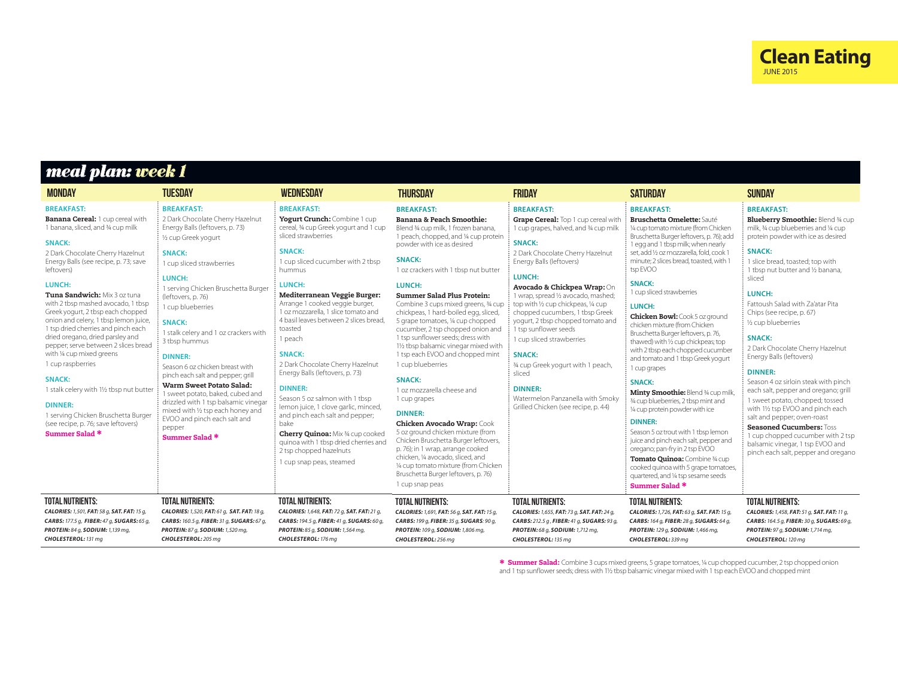

## *meal plan: week 1*

| <b>MONDAY</b>                                                                                                                                                                                                                                                                                                                                                                                                                                                                                                                                                                                                                                                                                                                   | TUESDAY                                                                                                                                                                                                                                                                                                                                                                                                                                                                                                                                                                                                                                         | <b>WEDNESDAY</b>                                                                                                                                                                                                                                                                                                                                                                                                                                                                                                                                                                                                                                                                                                                               | <b>THURSDAY</b>                                                                                                                                                                                                                                                                                                                                                                                                                                                                                                                                                                                                                                                                                                                                                                                                                                                                                                                                                | <b>FRIDAY</b>                                                                                                                                                                                                                                                                                                                                                                                                                                                                                                                                                                                                                    | <b>SATURDAY</b>                                                                                                                                                                                                                                                                                                                                                                                                                                                                                                                                                                                                                                                                                                                                                                                                                                                                                                                                                                                       | <b>SUNDAY</b>                                                                                                                                                                                                                                                                                                                                                                                                                                                                                                                                                                                                                                                                                                                                                                                |
|---------------------------------------------------------------------------------------------------------------------------------------------------------------------------------------------------------------------------------------------------------------------------------------------------------------------------------------------------------------------------------------------------------------------------------------------------------------------------------------------------------------------------------------------------------------------------------------------------------------------------------------------------------------------------------------------------------------------------------|-------------------------------------------------------------------------------------------------------------------------------------------------------------------------------------------------------------------------------------------------------------------------------------------------------------------------------------------------------------------------------------------------------------------------------------------------------------------------------------------------------------------------------------------------------------------------------------------------------------------------------------------------|------------------------------------------------------------------------------------------------------------------------------------------------------------------------------------------------------------------------------------------------------------------------------------------------------------------------------------------------------------------------------------------------------------------------------------------------------------------------------------------------------------------------------------------------------------------------------------------------------------------------------------------------------------------------------------------------------------------------------------------------|----------------------------------------------------------------------------------------------------------------------------------------------------------------------------------------------------------------------------------------------------------------------------------------------------------------------------------------------------------------------------------------------------------------------------------------------------------------------------------------------------------------------------------------------------------------------------------------------------------------------------------------------------------------------------------------------------------------------------------------------------------------------------------------------------------------------------------------------------------------------------------------------------------------------------------------------------------------|----------------------------------------------------------------------------------------------------------------------------------------------------------------------------------------------------------------------------------------------------------------------------------------------------------------------------------------------------------------------------------------------------------------------------------------------------------------------------------------------------------------------------------------------------------------------------------------------------------------------------------|-------------------------------------------------------------------------------------------------------------------------------------------------------------------------------------------------------------------------------------------------------------------------------------------------------------------------------------------------------------------------------------------------------------------------------------------------------------------------------------------------------------------------------------------------------------------------------------------------------------------------------------------------------------------------------------------------------------------------------------------------------------------------------------------------------------------------------------------------------------------------------------------------------------------------------------------------------------------------------------------------------|----------------------------------------------------------------------------------------------------------------------------------------------------------------------------------------------------------------------------------------------------------------------------------------------------------------------------------------------------------------------------------------------------------------------------------------------------------------------------------------------------------------------------------------------------------------------------------------------------------------------------------------------------------------------------------------------------------------------------------------------------------------------------------------------|
| <b>BREAKFAST:</b><br><b>Banana Cereal: 1 cup cereal with</b><br>1 banana, sliced, and 34 cup milk<br><b>SNACK:</b><br>2 Dark Chocolate Cherry Hazelnut<br>Energy Balls (see recipe, p. 73; save<br>leftovers)<br>LUNCH:<br>Tuna Sandwich: Mix 3 oz tuna<br>with 2 tbsp mashed avocado. 1 tbsp<br>Greek yogurt, 2 tbsp each chopped<br>onion and celery, 1 tbsp lemon juice,<br>1 tsp dried cherries and pinch each<br>dried oregano, dried parsley and<br>pepper; serve between 2 slices bread<br>with 1/4 cup mixed greens<br>1 cup raspberries<br><b>SNACK:</b><br>1 stalk celery with 11/2 tbsp nut butter<br><b>DINNER:</b><br>1 serving Chicken Bruschetta Burger<br>(see recipe, p. 76; save leftovers)<br>Summer Salad * | <b>BREAKFAST:</b><br>2 Dark Chocolate Cherry Hazelnut<br>Energy Balls (leftovers, p. 73)<br>1/2 cup Greek yogurt<br><b>SNACK:</b><br>1 cup sliced strawberries<br>LUNCH:<br>1 serving Chicken Bruschetta Burger<br>(leftovers, p. 76)<br>1 cup blueberries<br><b>SNACK:</b><br>1 stalk celery and 1 oz crackers with<br>3 tbsp hummus<br><b>DINNER:</b><br>Season 6 oz chicken breast with<br>pinch each salt and pepper; grill<br>Warm Sweet Potato Salad:<br>1 sweet potato, baked, cubed and<br>drizzled with 1 tsp balsamic vinegar<br>mixed with 1/2 tsp each honey and<br>EVOO and pinch each salt and<br>pepper<br><b>Summer Salad *</b> | <b>BREAKFAST:</b><br>Yogurt Crunch: Combine 1 cup<br>cereal, 34 cup Greek yogurt and 1 cup<br>sliced strawberries<br><b>SNACK:</b><br>1 cup sliced cucumber with 2 tbsp<br>hummus<br>LUNCH:<br>Mediterranean Veggie Burger:<br>Arrange 1 cooked veggie burger,<br>1 oz mozzarella, 1 slice tomato and<br>4 basil leaves between 2 slices bread.<br>toasted<br>1 peach<br><b>SNACK:</b><br>2 Dark Chocolate Cherry Hazelnut<br>Energy Balls (leftovers, p. 73)<br><b>DINNER:</b><br>Season 5 oz salmon with 1 tbsp<br>lemon juice, 1 clove garlic, minced<br>and pinch each salt and pepper;<br>bake<br><b>Cherry Quinoa:</b> Mix 34 cup cooked<br>quinoa with 1 tbsp dried cherries and<br>2 tsp chopped hazelnuts<br>1 cup snap peas, steamed | <b>BREAKFAST:</b><br><b>Banana &amp; Peach Smoothie:</b><br>Blend 34 cup milk, 1 frozen banana,<br>1 peach, chopped, and 1/4 cup protein<br>powder with ice as desired<br><b>SNACK:</b><br>1 oz crackers with 1 tbsp nut butter<br>LUNCH:<br><b>Summer Salad Plus Protein:</b><br>Combine 3 cups mixed greens, 34 cup<br>chickpeas, 1 hard-boiled egg, sliced,<br>5 grape tomatoes, 1/4 cup chopped<br>cucumber, 2 tsp chopped onion and<br>1 tsp sunflower seeds; dress with<br>11/2 tbsp balsamic vinegar mixed with<br>1 tsp each EVOO and chopped mint<br>1 cup blueberries<br><b>SNACK:</b><br>1 oz mozzarella cheese and<br>1 cup grapes<br><b>DINNER:</b><br><b>Chicken Avocado Wrap: Cook</b><br>5 oz ground chicken mixture (from<br>Chicken Bruschetta Burger leftovers,<br>p. 76); in 1 wrap, arrange cooked<br>chicken. 1/4 avocado, sliced, and<br>1/4 cup tomato mixture (from Chicken<br>Bruschetta Burger leftovers, p. 76)<br>1 cup snap peas | <b>BREAKFAST:</b><br>Grape Cereal: Top 1 cup cereal with<br>1 cup grapes, halved, and 34 cup milk<br><b>SNACK:</b><br>2 Dark Chocolate Cherry Hazelnut<br>Energy Balls (leftovers)<br>LUNCH:<br>Avocado & Chickpea Wrap: On<br>1 wrap, spread 1/2 avocado, mashed;<br>$\frac{1}{2}$ top with 1/2 cup chickpeas, 1/4 cup<br>chopped cucumbers, 1 tbsp Greek<br>yogurt, 2 tbsp chopped tomato and<br>$\frac{1}{2}$ 1 tsp sunflower seeds<br>1 cup sliced strawberries<br><b>SNACK:</b><br>34 cup Greek yogurt with 1 peach,<br>sliced<br><b>DINNER:</b><br>Watermelon Panzanella with Smoky<br>Grilled Chicken (see recipe, p. 44) | <b>BREAKFAST:</b><br><b>Bruschetta Omelette: Sauté</b><br>1/4 cup tomato mixture (from Chicken<br>Bruschetta Burger leftovers, p. 76); add<br>1 egg and 1 tbsp milk; when nearly<br>set, add 1/2 oz mozzarella, fold, cook 1<br>minute; 2 slices bread, toasted, with 1<br>tsp EVOO<br><b>SNACK:</b><br>1 cup sliced strawberries<br>LUNCH:<br><b>Chicken Bowl:</b> Cook 5 oz around<br>chicken mixture (from Chicken<br>Bruschetta Burger leftovers, p. 76,<br>thawed) with 1/2 cup chickpeas; top<br>with 2 tbsp each chopped cucumber<br>and tomato and 1 tbsp Greek yogurt<br>1 cup grapes<br><b>SNACK:</b><br>Minty Smoothie: Blend 34 cup milk<br>3/4 cup blueberries, 2 tbsp mint and<br>1/4 cup protein powder with ice<br><b>DINNER:</b><br>Season 5 oz trout with 1 tbsp lemon<br>juice and pinch each salt, pepper and<br>oregano; pan-fry in 2 tsp EVOO<br>Tomato Quinoa: Combine 34 cup<br>cooked quinoa with 5 grape tomatoes,<br>quartered, and 1/4 tsp sesame seeds<br>Summer Salad * | <b>BREAKFAST:</b><br><b>Blueberry Smoothie: Blend 34 cup</b><br>milk, 34 cup blueberries and 14 cup<br>protein powder with ice as desired<br><b>SNACK:</b><br>1 slice bread, toasted; top with<br>1 tbsp nut butter and 1/2 banana.<br>sliced<br>LUNCH:<br>Fattoush Salad with Za'atar Pita<br>Chips (see recipe, p. 67)<br>1/2 cup blueberries<br><b>SNACK:</b><br>2 Dark Chocolate Cherry Hazelnut<br>Energy Balls (leftovers)<br><b>DINNER:</b><br>Season 4 oz sirloin steak with pinch<br>each salt, pepper and oregano; grill<br>1 sweet potato, chopped; tossed<br>with 11/2 tsp EVOO and pinch each<br>salt and pepper; oven-roast<br><b>Seasoned Cucumbers: Toss</b><br>1 cup chopped cucumber with 2 tsp<br>balsamic vinegar, 1 tsp EVOO and<br>pinch each salt, pepper and oregano |
| <b>TOTAL NUTRIENTS:</b><br>CALORIES: 1,501, FAT: 58 g, SAT. FAT: 15 g,<br>CARBS: 177.5 q, FIBER: 47 q, SUGARS: 65 q,<br>PROTEIN: 84 g, SODIUM: 1,139 mg,<br>CHOLESTEROL: 131 mq                                                                                                                                                                                                                                                                                                                                                                                                                                                                                                                                                 | <b>TOTAL NUTRIENTS:</b><br>CALORIES: 1,520, FAT: 61 g, SAT. FAT: 18 g,<br>CARBS: 160.5 q, FIBER: 31 q, SUGARS: 67 q,<br>PROTEIN: 87 g, SODIUM: 1,520 mg,<br>CHOLESTEROL: 205 mq                                                                                                                                                                                                                                                                                                                                                                                                                                                                 | <b>TOTAL NUTRIENTS:</b><br>CALORIES: 1,648, FAT: 72 g, SAT. FAT: 21 g,<br>CARBS: 194.5 q, FIBER: 41 q, SUGARS: 60 q,<br>PROTEIN: 85 g, SODIUM: 1,564 mg,<br>CHOLESTEROL: 176 mg                                                                                                                                                                                                                                                                                                                                                                                                                                                                                                                                                                | <b>TOTAL NUTRIENTS:</b><br>CALORIES: 1,691, FAT: 56 g, SAT. FAT: 15 g,<br>CARBS: 199 g, FIBER: 35 g, SUGARS: 90 g,<br>PROTEIN: 109 g, SODIUM: 1,806 mg,<br>CHOLESTEROL: 256 mg                                                                                                                                                                                                                                                                                                                                                                                                                                                                                                                                                                                                                                                                                                                                                                                 | <b>TOTAL NUTRIENTS:</b><br>CALORIES: 1,655, FAT: 73 g, SAT. FAT: 24 g,<br>CARBS: 212.5 g, FIBER: 41 g, SUGARS: 93 g,<br>PROTEIN: 68 g, SODIUM: 1,712 mg,<br>CHOLESTEROL: 135 mq                                                                                                                                                                                                                                                                                                                                                                                                                                                  | <b>TOTAL NUTRIENTS:</b><br>CALORIES: 1,726, FAT: 63 g, SAT. FAT: 15 g,<br>CARBS: 164 g, FIBER: 28 g, SUGARS: 64 g,<br>PROTEIN: 129 g, SODIUM: 1,466 mg,<br>CHOLESTEROL: 339 mg                                                                                                                                                                                                                                                                                                                                                                                                                                                                                                                                                                                                                                                                                                                                                                                                                        | <b>TOTAL NUTRIENTS:</b><br>CALORIES: 1,458, FAT: 51 g, SAT. FAT: 11 g,<br>CARBS: 164.5 g, FIBER: 30 g, SUGARS: 69 g,<br>PROTEIN: 97 g, SODIUM: 1,714 mg,<br>CHOLESTEROL: 120 mg                                                                                                                                                                                                                                                                                                                                                                                                                                                                                                                                                                                                              |

\* Summer Salad: Combine 3 cups mixed greens, 5 grape tomatoes, ¼ cup chopped cucumber, 2 tsp chopped onion and 1 tsp sunflower seeds; dress with 1½ tbsp balsamic vinegar mixed with 1 tsp each EVOO and chopped mint